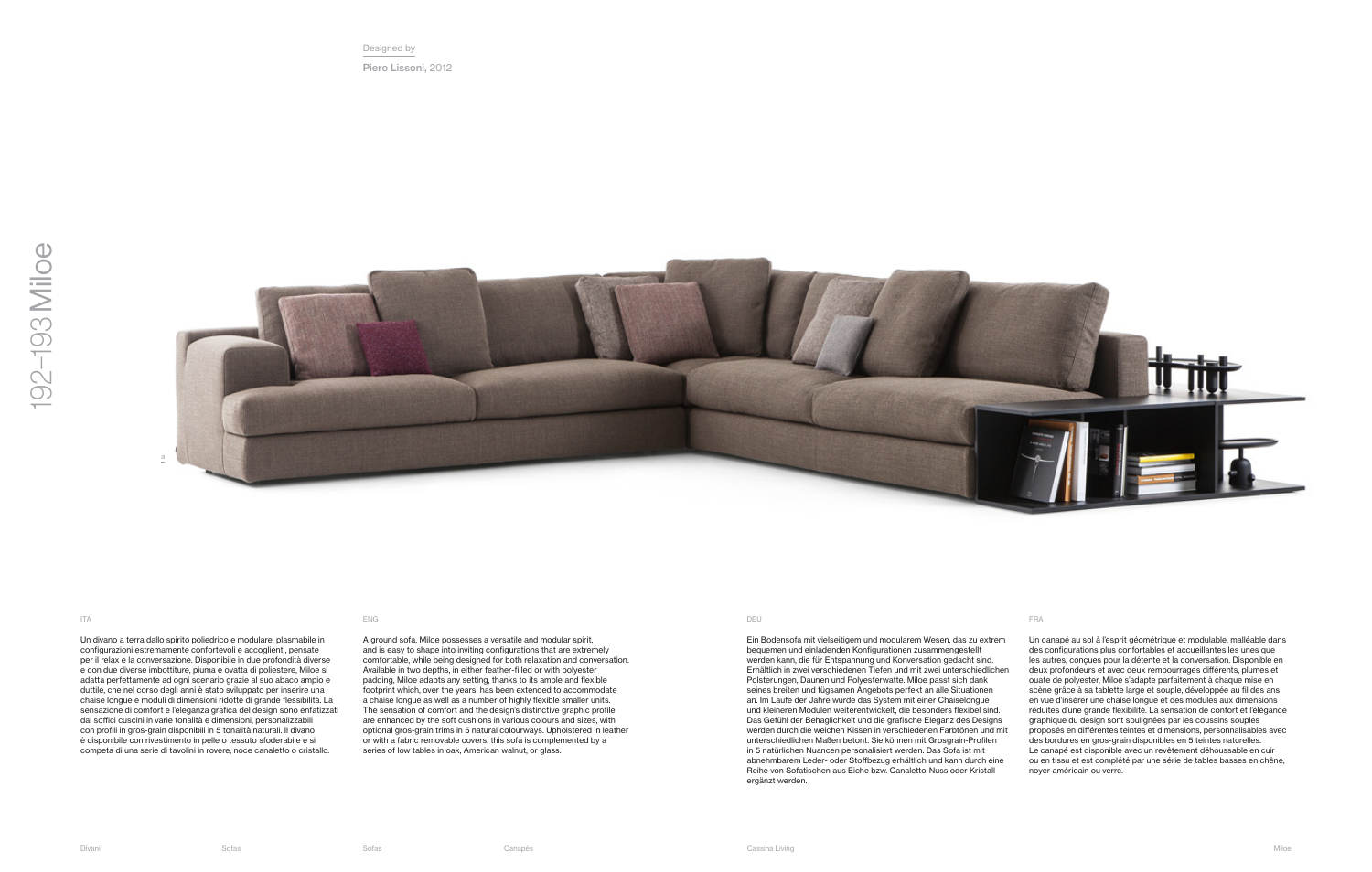Designed by Piero Lissoni, 2012



Un divano a terra dallo spirito poliedrico e modulare, plasmabile in configurazioni estremamente confortevoli e accoglienti, pensate per il relax e la conversazione. Disponibile in due profondità diverse e con due diverse imbottiture, piuma e ovatta di poliestere, Miloe si adatta perfettamente ad ogni scenario grazie al suo abaco ampio e duttile, che nel corso degli anni è stato sviluppato per inserire una chaise longue e moduli di dimensioni ridotte di grande flessibilità. La sensazione di comfort e l'eleganza grafica del design sono enfatizzati dai soffici cuscini in varie tonalità e dimensioni, personalizzabili con profili in gros-grain disponibili in 5 tonalità naturali. Il divano è disponibile con rivestimento in pelle o tessuto sfoderabile e si competa di una serie di tavolini in rovere, noce canaletto o cristallo.

A ground sofa, Miloe possesses a versatile and modular spirit, and is easy to shape into inviting configurations that are extremely comfortable, while being designed for both relaxation and conversation. Available in two depths, in either feather-filled or with polyester padding, Miloe adapts any setting, thanks to its ample and flexible footprint which, over the years, has been extended to accommodate a chaise longue as well as a number of highly flexible smaller units. The sensation of comfort and the design's distinctive graphic profile are enhanced by the soft cushions in various colours and sizes, with optional gros-grain trims in 5 natural colourways. Upholstered in leather or with a fabric removable covers, this sofa is complemented by a series of low tables in oak, American walnut, or glass.

Ein Bodensofa mit vielseitigem und modularem Wesen, das zu extrem bequemen und einladenden Konfigurationen zusammengestellt werden kann, die für Entspannung und Konversation gedacht sind. Erhältlich in zwei verschiedenen Tiefen und mit zwei unterschiedlichen Polsterungen, Daunen und Polyesterwatte. Miloe passt sich dank seines breiten und fügsamen Angebots perfekt an alle Situationen an. Im Laufe der Jahre wurde das System mit einer Chaiselongue und kleineren Modulen weiterentwickelt, die besonders flexibel sind. Das Gefühl der Behaglichkeit und die grafische Eleganz des Designs werden durch die weichen Kissen in verschiedenen Farbtönen und mit unterschiedlichen Maßen betont. Sie können mit Grosgrain-Profilen in 5 natürlichen Nuancen personalisiert werden. Das Sofa ist mit abnehmbarem Leder- oder Stoffbezug erhältlich und kann durch eine Reihe von Sofatischen aus Eiche bzw. Canaletto-Nuss oder Kristall ergänzt werden.

Un canapé au sol à l'esprit géométrique et modulable, malléable dans des configurations plus confortables et accueillantes les unes que les autres, conçues pour la détente et la conversation. Disponible en deux profondeurs et avec deux rembourrages différents, plumes et ouate de polyester, Miloe s'adapte parfaitement à chaque mise en scène grâce à sa tablette large et souple, développée au fil des ans en vue d'insérer une chaise longue et des modules aux dimensions réduites d'une grande flexibilité. La sensation de confort et l'élégance graphique du design sont soulignées par les coussins souples proposés en dif érentes teintes et dimensions, personnalisables avec des bordures en gros-grain disponibles en 5 teintes naturelles. Le canapé est disponible avec un revêtement déhoussable en cuir ou en tissu et est complété par une série de tables basses en chêne, noyer américain ou verre.

## ITA ENG DEU FRA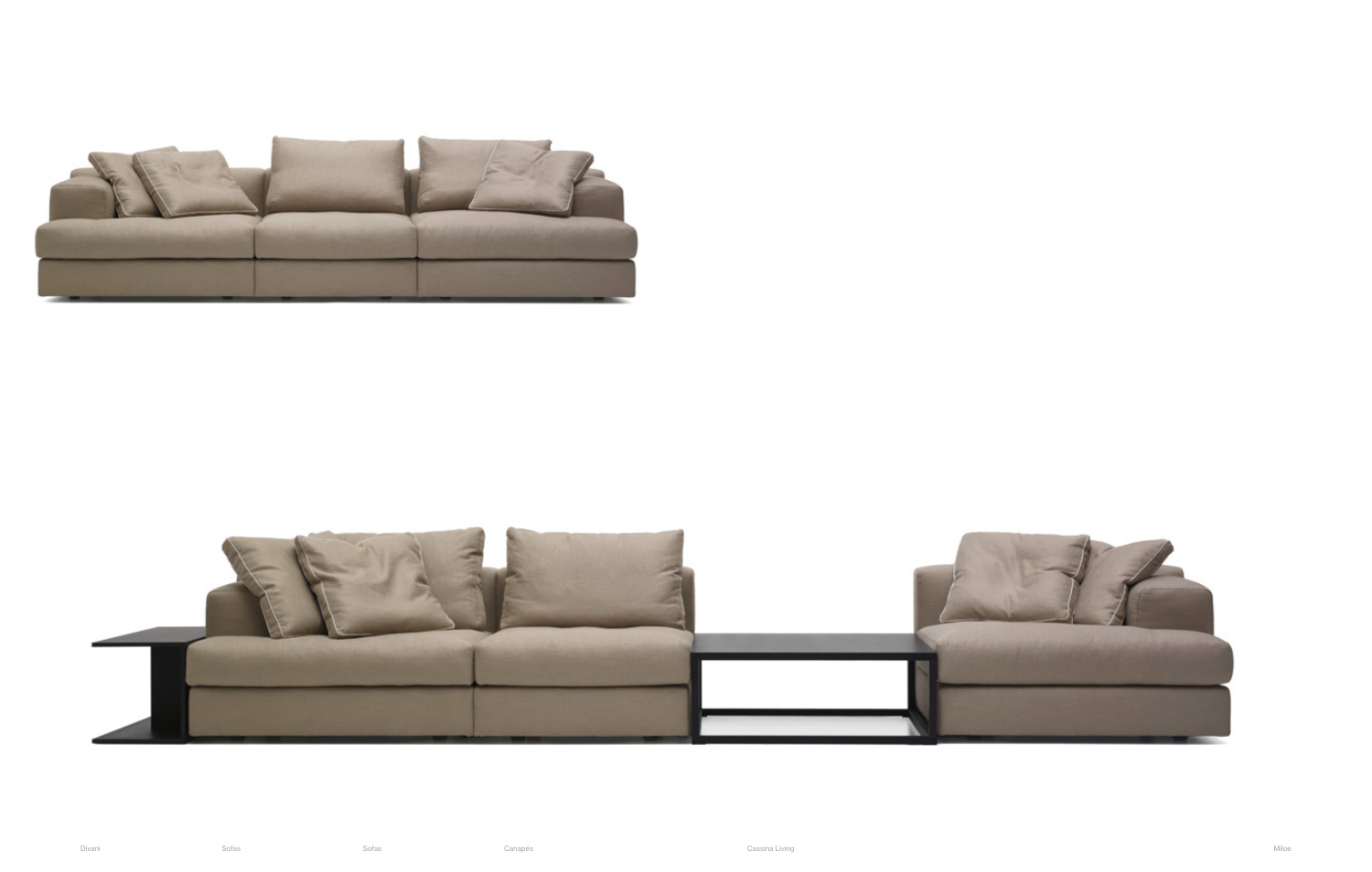